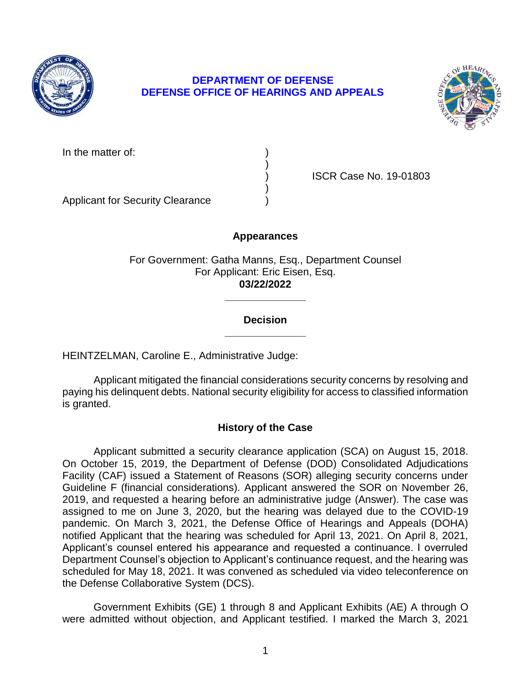

# **DEPARTMENT OF DEFENSE DEFENSE OFFICE OF HEARINGS AND APPEALS**



In the matter of:

) ISCR Case No. 19-01803

Applicant for Security Clearance )

# **Appearances**

)

)

For Government: Gatha Manns, Esq., Department Counsel For Applicant: Eric Eisen, Esq. **03/22/2022** 

## **\_\_\_\_\_\_\_\_\_\_\_\_\_\_ Decision**

**\_\_\_\_\_\_\_\_\_\_\_\_\_\_** 

HEINTZELMAN, Caroline E., Administrative Judge:

 Applicant mitigated the financial considerations security concerns by resolving and paying his delinquent debts. National security eligibility for access to classified information is granted.

# **History of the Case**

 Applicant submitted a security clearance application (SCA) on August 15, 2018. On October 15, 2019, the Department of Defense (DOD) Consolidated Adjudications Facility (CAF) issued a Statement of Reasons (SOR) alleging security concerns under Guideline F (financial considerations). Applicant answered the SOR on November 26, 2019, and requested a hearing before an administrative judge (Answer). The case was assigned to me on June 3, 2020, but the hearing was delayed due to the COVID-19 pandemic. On March 3, 2021, the Defense Office of Hearings and Appeals (DOHA) notified Applicant that the hearing was scheduled for April 13, 2021. On April 8, 2021, Applicant's counsel entered his appearance and requested a continuance. I overruled Department Counsel's objection to Applicant's continuance request, and the hearing was scheduled for May 18, 2021. It was convened as scheduled via video teleconference on the Defense Collaborative System (DCS).

 Government Exhibits (GE) 1 through 8 and Applicant Exhibits (AE) A through O were admitted without objection, and Applicant testified. I marked the March 3, 2021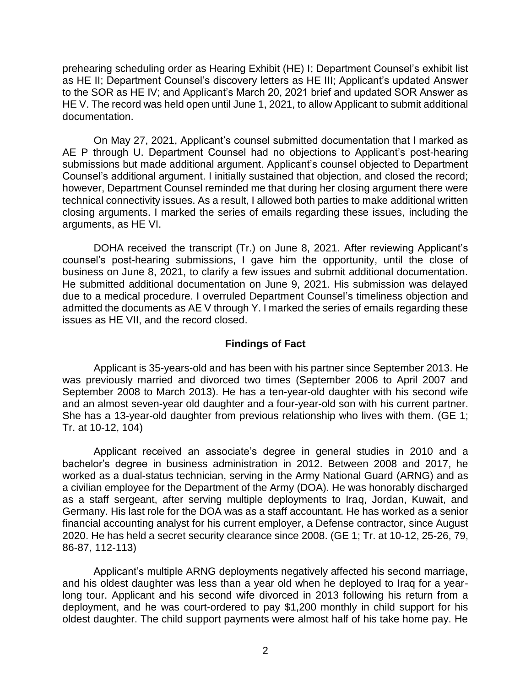prehearing scheduling order as Hearing Exhibit (HE) I; Department Counsel's exhibit list to the SOR as HE IV; and Applicant's March 20, 2021 brief and updated SOR Answer as HE V. The record was held open until June 1, 2021, to allow Applicant to submit additional as HE II; Department Counsel's discovery letters as HE III; Applicant's updated Answer documentation.

 On May 27, 2021, Applicant's counsel submitted documentation that I marked as AE P through U. Department Counsel had no objections to Applicant's post-hearing submissions but made additional argument. Applicant's counsel objected to Department Counsel's additional argument. I initially sustained that objection, and closed the record; however, Department Counsel reminded me that during her closing argument there were technical connectivity issues. As a result, I allowed both parties to make additional written closing arguments. I marked the series of emails regarding these issues, including the arguments, as HE VI.

 DOHA received the transcript (Tr.) on June 8, 2021. After reviewing Applicant's counsel's post-hearing submissions, I gave him the opportunity, until the close of business on June 8, 2021, to clarify a few issues and submit additional documentation. He submitted additional documentation on June 9, 2021. His submission was delayed due to a medical procedure. I overruled Department Counsel's timeliness objection and admitted the documents as AE V through Y. I marked the series of emails regarding these issues as HE VII, and the record closed.

#### **Findings of Fact**

 was previously married and divorced two times (September 2006 to April 2007 and September 2008 to March 2013). He has a ten-year-old daughter with his second wife and an almost seven-year old daughter and a four-year-old son with his current partner. She has a 13-year-old daughter from previous relationship who lives with them. (GE 1; Applicant is 35-years-old and has been with his partner since September 2013. He Tr. at 10-12, 104)

 Applicant received an associate's degree in general studies in 2010 and a bachelor's degree in business administration in 2012. Between 2008 and 2017, he worked as a dual-status technician, serving in the Army National Guard (ARNG) and as a civilian employee for the Department of the Army (DOA). He was honorably discharged as a staff sergeant, after serving multiple deployments to Iraq, Jordan, Kuwait, and Germany. His last role for the DOA was as a staff accountant. He has worked as a senior financial accounting analyst for his current employer, a Defense contractor, since August 2020. He has held a secret security clearance since 2008. (GE 1; Tr. at 10-12, 25-26, 79, 86-87, 112-113)

Applicant's multiple ARNG deployments negatively affected his second marriage, and his oldest daughter was less than a year old when he deployed to Iraq for a yearlong tour. Applicant and his second wife divorced in 2013 following his return from a deployment, and he was court-ordered to pay \$1,200 monthly in child support for his oldest daughter. The child support payments were almost half of his take home pay. He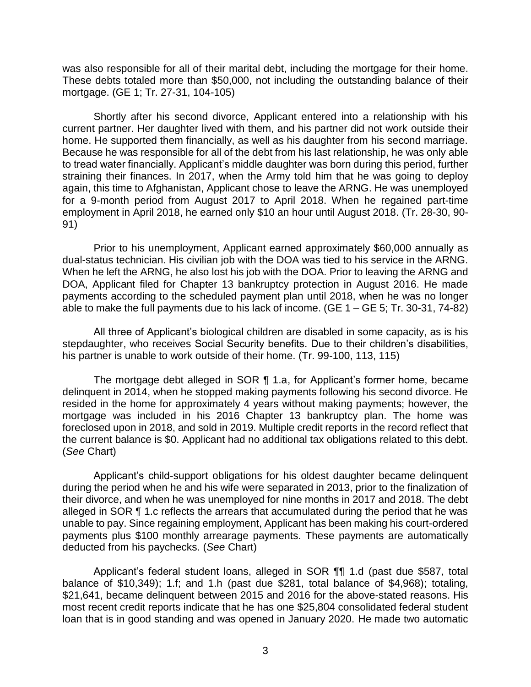was also responsible for all of their marital debt, including the mortgage for their home. These debts totaled more than \$50,000, not including the outstanding balance of their mortgage. (GE 1; Tr. 27-31, 104-105)

Shortly after his second divorce, Applicant entered into a relationship with his current partner. Her daughter lived with them, and his partner did not work outside their home. He supported them financially, as well as his daughter from his second marriage. Because he was responsible for all of the debt from his last relationship, he was only able to tread water financially. Applicant's middle daughter was born during this period, further straining their finances. In 2017, when the Army told him that he was going to deploy again, this time to Afghanistan, Applicant chose to leave the ARNG. He was unemployed for a 9-month period from August 2017 to April 2018. When he regained part-time employment in April 2018, he earned only \$10 an hour until August 2018. (Tr. 28-30, 90- 91)

 Prior to his unemployment, Applicant earned approximately \$60,000 annually as When he left the ARNG, he also lost his job with the DOA. Prior to leaving the ARNG and DOA, Applicant filed for Chapter 13 bankruptcy protection in August 2016. He made payments according to the scheduled payment plan until 2018, when he was no longer able to make the full payments due to his lack of income. (GE 1 – GE 5; Tr. 30-31, 74-82) dual-status technician. His civilian job with the DOA was tied to his service in the ARNG.

 All three of Applicant's biological children are disabled in some capacity, as is his stepdaughter, who receives Social Security benefits. Due to their children's disabilities, his partner is unable to work outside of their home. (Tr. 99-100, 113, 115)

 The mortgage debt alleged in SOR ¶ 1.a, for Applicant's former home, became delinquent in 2014, when he stopped making payments following his second divorce. He resided in the home for approximately 4 years without making payments; however, the mortgage was included in his 2016 Chapter 13 bankruptcy plan. The home was foreclosed upon in 2018, and sold in 2019. Multiple credit reports in the record reflect that the current balance is \$0. Applicant had no additional tax obligations related to this debt. (*See* Chart)

 Applicant's child-support obligations for his oldest daughter became delinquent during the period when he and his wife were separated in 2013, prior to the finalization of their divorce, and when he was unemployed for nine months in 2017 and 2018. The debt alleged in SOR ¶ 1.c reflects the arrears that accumulated during the period that he was unable to pay. Since regaining employment, Applicant has been making his court-ordered payments plus \$100 monthly arrearage payments. These payments are automatically deducted from his paychecks. (*See* Chart)

 Applicant's federal student loans, alleged in SOR ¶¶ 1.d (past due \$587, total balance of \$10,349); 1.f; and 1.h (past due \$281, total balance of \$4,968); totaling, \$21,641, became delinquent between 2015 and 2016 for the above-stated reasons. His most recent credit reports indicate that he has one \$25,804 consolidated federal student loan that is in good standing and was opened in January 2020. He made two automatic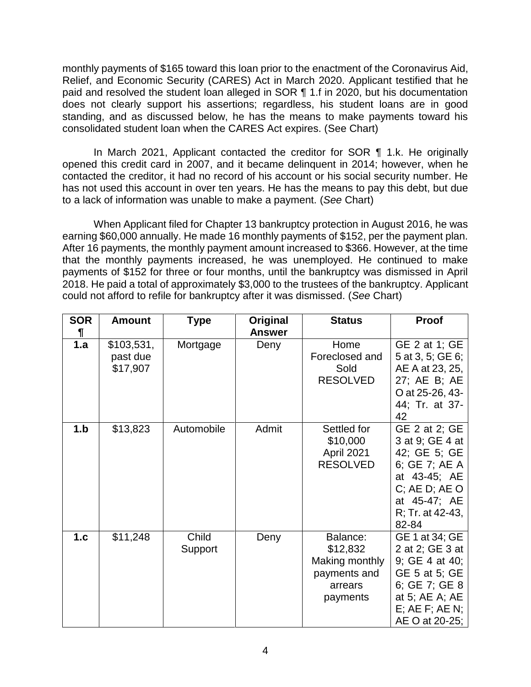monthly payments of \$165 toward this loan prior to the enactment of the Coronavirus Aid, Relief, and Economic Security (CARES) Act in March 2020. Applicant testified that he paid and resolved the student loan alleged in SOR ¶ 1.f in 2020, but his documentation does not clearly support his assertions; regardless, his student loans are in good standing, and as discussed below, he has the means to make payments toward his consolidated student loan when the CARES Act expires. (See Chart)

 In March 2021, Applicant contacted the creditor for SOR ¶ 1.k. He originally opened this credit card in 2007, and it became delinquent in 2014; however, when he contacted the creditor, it had no record of his account or his social security number. He has not used this account in over ten years. He has the means to pay this debt, but due to a lack of information was unable to make a payment. (*See* Chart)

 When Applicant filed for Chapter 13 bankruptcy protection in August 2016, he was earning \$60,000 annually. He made 16 monthly payments of \$152, per the payment plan. After 16 payments, the monthly payment amount increased to \$366. However, at the time that the monthly payments increased, he was unemployed. He continued to make payments of \$152 for three or four months, until the bankruptcy was dismissed in April 2018. He paid a total of approximately \$3,000 to the trustees of the bankruptcy. Applicant could not afford to refile for bankruptcy after it was dismissed. (*See* Chart)

| <b>SOR</b> | <b>Amount</b>                      | <b>Type</b>      | Original<br><b>Answer</b> | <b>Status</b>                                                                 | Proof                                                                                                                                              |
|------------|------------------------------------|------------------|---------------------------|-------------------------------------------------------------------------------|----------------------------------------------------------------------------------------------------------------------------------------------------|
| 1.a        | \$103,531,<br>past due<br>\$17,907 | Mortgage         | Deny                      | Home<br>Foreclosed and<br>Sold<br><b>RESOLVED</b>                             | GE 2 at 1; GE<br>5 at 3, 5; GE 6;<br>AE A at 23, 25,<br>27; AE B; AE<br>O at 25-26, 43-<br>44; Tr. at 37-<br>42                                    |
| 1.b        | \$13,823                           | Automobile       | Admit                     | Settled for<br>\$10,000<br>April 2021<br><b>RESOLVED</b>                      | GE 2 at 2; GE<br>3 at 9; GE 4 at<br>42; GE 5; GE<br>6; GE 7; AE A<br>at 43-45; AE<br>$C$ ; AE D; AE O<br>at 45-47; AE<br>R; Tr. at 42-43,<br>82-84 |
| 1.c        | \$11,248                           | Child<br>Support | Deny                      | Balance:<br>\$12,832<br>Making monthly<br>payments and<br>arrears<br>payments | GE 1 at 34; GE<br>2 at 2; GE 3 at<br>9; GE 4 at 40;<br>GE 5 at 5; GE<br>6; GE 7; GE 8<br>at 5; AE A; AE<br>$E$ ; AE $F$ ; AE N;<br>AE O at 20-25;  |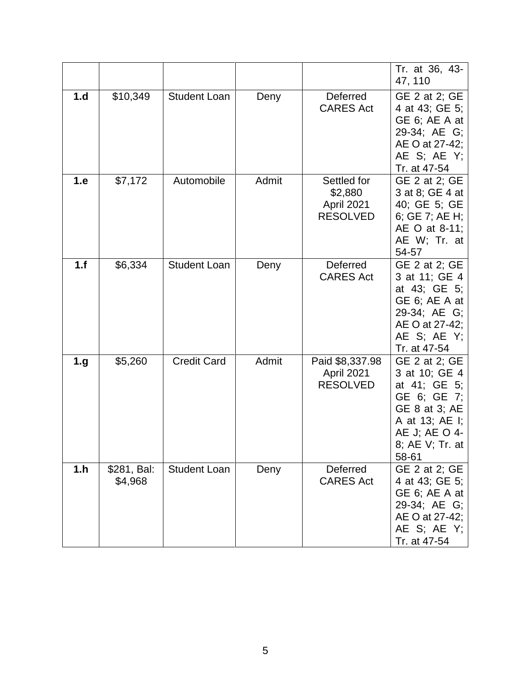|     |                        |                     |       |                                                         | Tr. at 36, 43-<br>47, 110                                                                                                                     |
|-----|------------------------|---------------------|-------|---------------------------------------------------------|-----------------------------------------------------------------------------------------------------------------------------------------------|
| 1.d | \$10,349               | <b>Student Loan</b> | Deny  | Deferred<br><b>CARES Act</b>                            | GE 2 at 2; GE<br>4 at 43; GE 5;<br>GE 6; AE A at<br>29-34; AE G;<br>AE O at 27-42;<br>AE S; AE Y;<br>Tr. at 47-54                             |
| 1.e | \$7,172                | Automobile          | Admit | Settled for<br>\$2,880<br>April 2021<br><b>RESOLVED</b> | GE 2 at 2; GE<br>3 at 8; GE 4 at<br>40; GE 5; GE<br>6; GE 7; AE H;<br>AE O at 8-11;<br>AE W; Tr. at<br>54-57                                  |
| 1.f | \$6,334                | <b>Student Loan</b> | Deny  | Deferred<br><b>CARES Act</b>                            | GE 2 at 2; GE<br>3 at 11; GE 4<br>at 43; GE 5;<br>GE 6; AE A at<br>29-34; AE G;<br>AE O at 27-42;<br>AE S; AE Y;<br>Tr. at 47-54              |
| 1.g | \$5,260                | <b>Credit Card</b>  | Admit | Paid \$8,337.98<br>April 2021<br><b>RESOLVED</b>        | GE 2 at 2; GE<br>3 at 10; GE 4<br>at 41; GE 5;<br>GE 6; GE 7;<br>GE 8 at 3; AE<br>A at 13; AE I;<br>AE J; AE O 4-<br>8; AE V; Tr. at<br>58-61 |
| 1.h | \$281, Bal:<br>\$4,968 | <b>Student Loan</b> | Deny  | Deferred<br><b>CARES Act</b>                            | GE 2 at 2; GE<br>4 at 43; GE 5;<br>GE 6; AE A at<br>29-34; AE G;<br>AE O at 27-42;<br>AE S; AE Y;<br>Tr. at 47-54                             |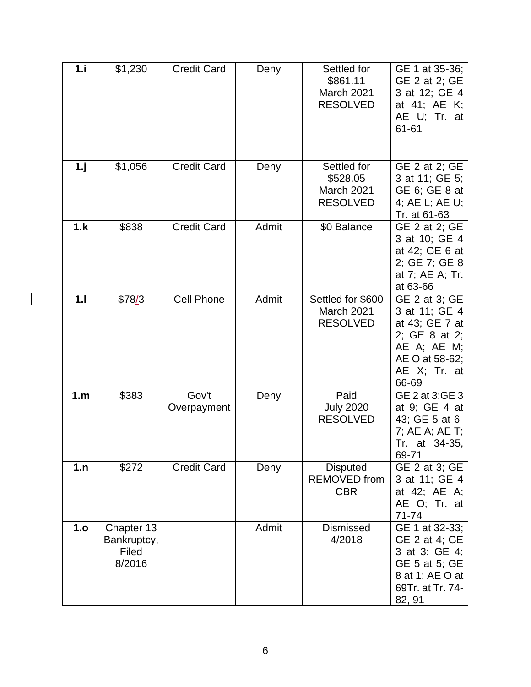| 1.i | \$1,230                                      | <b>Credit Card</b>   | Deny  | Settled for<br>\$861.11<br>March 2021<br><b>RESOLVED</b>  | GE 1 at 35-36;<br>GE 2 at 2; GE<br>3 at 12; GE 4<br>at 41; AE K;<br>AE U; Tr. at<br>61-61                                       |
|-----|----------------------------------------------|----------------------|-------|-----------------------------------------------------------|---------------------------------------------------------------------------------------------------------------------------------|
| 1.1 | \$1,056                                      | <b>Credit Card</b>   | Deny  | Settled for<br>\$528.05<br>March 2021<br><b>RESOLVED</b>  | GE 2 at 2; GE<br>3 at 11; GE 5;<br>GE 6; GE 8 at<br>4; AE L; AE U;<br>Tr. at 61-63                                              |
| 1.k | \$838                                        | <b>Credit Card</b>   | Admit | \$0 Balance                                               | GE 2 at 2; GE<br>3 at 10; GE 4<br>at 42; GE 6 at<br>2; GE 7; GE 8<br>at 7; AE A; Tr.<br>at 63-66                                |
| 1.1 | \$78/3                                       | <b>Cell Phone</b>    | Admit | Settled for \$600<br><b>March 2021</b><br><b>RESOLVED</b> | GE 2 at 3; GE<br>3 at 11; GE 4<br>at 43; GE 7 at<br>2; GE 8 at 2;<br>$AE$ A; $AE$ M;<br>AE O at 58-62;<br>AE X; Tr. at<br>66-69 |
| 1.m | \$383                                        | Gov't<br>Overpayment | Deny  | Paid<br><b>July 2020</b><br><b>RESOLVED</b>               | GE 2 at 3;GE 3<br>at 9; GE 4 at<br>43; GE 5 at 6-<br>7; AE A; AE T;<br>Tr. at 34-35,<br>69-71                                   |
| 1.n | \$272                                        | <b>Credit Card</b>   | Deny  | <b>Disputed</b><br><b>REMOVED</b> from<br><b>CBR</b>      | GE 2 at 3; GE<br>3 at 11; GE 4<br>at 42; AE A;<br>AE O; Tr. at<br>71-74                                                         |
| 1.o | Chapter 13<br>Bankruptcy,<br>Filed<br>8/2016 |                      | Admit | <b>Dismissed</b><br>4/2018                                | GE 1 at 32-33;<br>GE 2 at 4; GE<br>3 at 3; GE 4;<br>GE 5 at 5; GE<br>8 at 1; AE O at<br>69Tr. at Tr. 74-<br>82, 91              |

 $\overline{\phantom{a}}$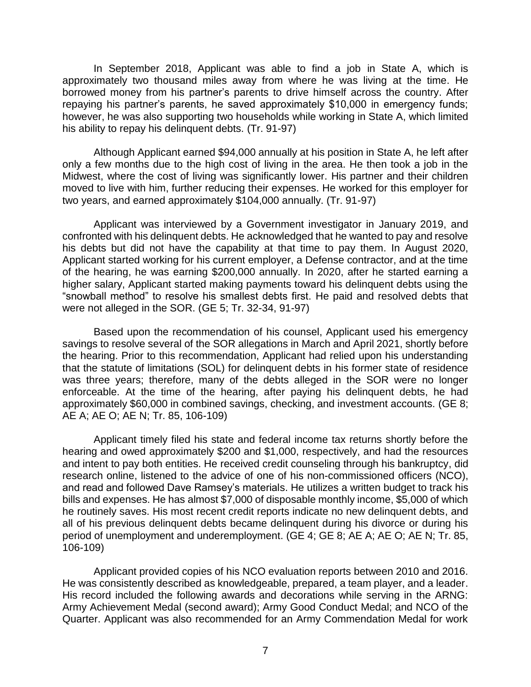In September 2018, Applicant was able to find a job in State A, which is approximately two thousand miles away from where he was living at the time. He borrowed money from his partner's parents to drive himself across the country. After repaying his partner's parents, he saved approximately \$10,000 in emergency funds; however, he was also supporting two households while working in State A, which limited his ability to repay his delinquent debts. (Tr. 91-97)

 Although Applicant earned \$94,000 annually at his position in State A, he left after only a few months due to the high cost of living in the area. He then took a job in the Midwest, where the cost of living was significantly lower. His partner and their children moved to live with him, further reducing their expenses. He worked for this employer for two years, and earned approximately \$104,000 annually. (Tr. 91-97)

 Applicant was interviewed by a Government investigator in January 2019, and confronted with his delinquent debts. He acknowledged that he wanted to pay and resolve his debts but did not have the capability at that time to pay them. In August 2020, of the hearing, he was earning \$200,000 annually. In 2020, after he started earning a higher salary, Applicant started making payments toward his delinquent debts using the "snowball method" to resolve his smallest debts first. He paid and resolved debts that Applicant started working for his current employer, a Defense contractor, and at the time were not alleged in the SOR. (GE 5; Tr. 32-34, 91-97)

 Based upon the recommendation of his counsel, Applicant used his emergency savings to resolve several of the SOR allegations in March and April 2021, shortly before the hearing. Prior to this recommendation, Applicant had relied upon his understanding that the statute of limitations (SOL) for delinquent debts in his former state of residence was three years; therefore, many of the debts alleged in the SOR were no longer enforceable. At the time of the hearing, after paying his delinquent debts, he had approximately \$60,000 in combined savings, checking, and investment accounts. (GE 8; AE A; AE O; AE N; Tr. 85, 106-109)

 Applicant timely filed his state and federal income tax returns shortly before the hearing and owed approximately \$200 and \$1,000, respectively, and had the resources and intent to pay both entities. He received credit counseling through his bankruptcy, did research online, listened to the advice of one of his non-commissioned officers (NCO), and read and followed Dave Ramsey's materials. He utilizes a written budget to track his bills and expenses. He has almost \$7,000 of disposable monthly income, \$5,000 of which he routinely saves. His most recent credit reports indicate no new delinquent debts, and all of his previous delinquent debts became delinquent during his divorce or during his period of unemployment and underemployment. (GE 4; GE 8; AE A; AE O; AE N; Tr. 85, 106-109)

 Applicant provided copies of his NCO evaluation reports between 2010 and 2016. He was consistently described as knowledgeable, prepared, a team player, and a leader. His record included the following awards and decorations while serving in the ARNG: Army Achievement Medal (second award); Army Good Conduct Medal; and NCO of the Quarter. Applicant was also recommended for an Army Commendation Medal for work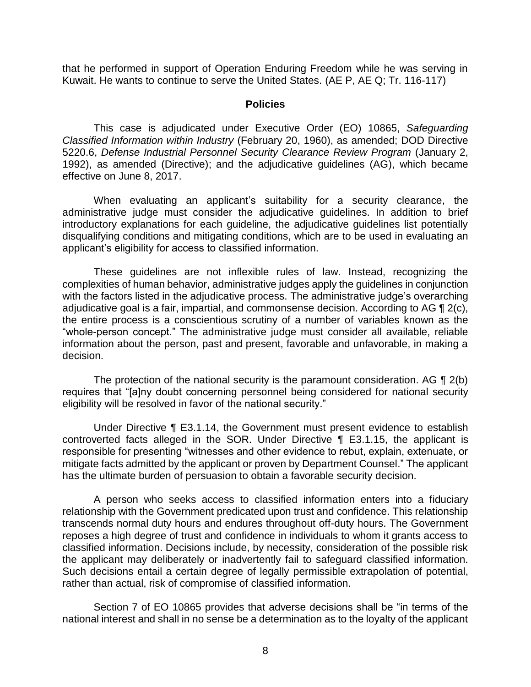that he performed in support of Operation Enduring Freedom while he was serving in Kuwait. He wants to continue to serve the United States. (AE P, AE Q; Tr. 116-117)

#### **Policies**

 *Classified Information within Industry* (February 20, 1960), as amended; DOD Directive 5220.6, *Defense Industrial Personnel Security Clearance Review Program* (January 2, 1992), as amended (Directive); and the adjudicative guidelines (AG), which became This case is adjudicated under Executive Order (EO) 10865, *Safeguarding*  effective on June 8, 2017.

 When evaluating an applicant's suitability for a security clearance, the administrative judge must consider the adjudicative guidelines. In addition to brief introductory explanations for each guideline, the adjudicative guidelines list potentially disqualifying conditions and mitigating conditions, which are to be used in evaluating an applicant's eligibility for access to classified information.

 These guidelines are not inflexible rules of law. Instead, recognizing the complexities of human behavior, administrative judges apply the guidelines in conjunction with the factors listed in the adjudicative process. The administrative judge's overarching adjudicative goal is a fair, impartial, and commonsense decision. According to AG  $\P$  2(c), the entire process is a conscientious scrutiny of a number of variables known as the "whole-person concept." The administrative judge must consider all available, reliable information about the person, past and present, favorable and unfavorable, in making a decision.

The protection of the national security is the paramount consideration. AG  $\P$  2(b) eligibility will be resolved in favor of the national security." requires that "[a]ny doubt concerning personnel being considered for national security

 Under Directive ¶ E3.1.14, the Government must present evidence to establish controverted facts alleged in the SOR. Under Directive ¶ E3.1.15, the applicant is responsible for presenting "witnesses and other evidence to rebut, explain, extenuate, or mitigate facts admitted by the applicant or proven by Department Counsel." The applicant has the ultimate burden of persuasion to obtain a favorable security decision.

 A person who seeks access to classified information enters into a fiduciary relationship with the Government predicated upon trust and confidence. This relationship transcends normal duty hours and endures throughout off-duty hours. The Government reposes a high degree of trust and confidence in individuals to whom it grants access to classified information. Decisions include, by necessity, consideration of the possible risk the applicant may deliberately or inadvertently fail to safeguard classified information. Such decisions entail a certain degree of legally permissible extrapolation of potential, rather than actual, risk of compromise of classified information.

 Section 7 of EO 10865 provides that adverse decisions shall be "in terms of the national interest and shall in no sense be a determination as to the loyalty of the applicant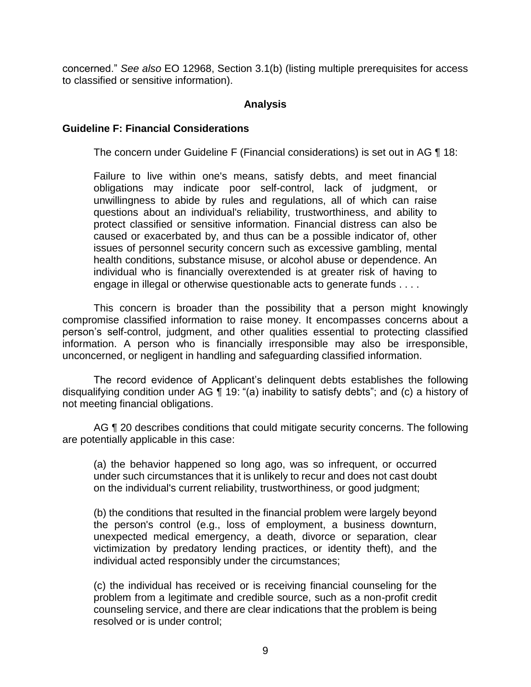concerned." *See also* EO 12968, Section 3.1(b) (listing multiple prerequisites for access to classified or sensitive information).

### **Analysis**

#### **Guideline F: Financial Considerations**

The concern under Guideline F (Financial considerations) is set out in AG ¶ 18:

Failure to live within one's means, satisfy debts, and meet financial obligations may indicate poor self-control, lack of judgment, or unwillingness to abide by rules and regulations, all of which can raise questions about an individual's reliability, trustworthiness, and ability to protect classified or sensitive information. Financial distress can also be caused or exacerbated by, and thus can be a possible indicator of, other issues of personnel security concern such as excessive gambling, mental health conditions, substance misuse, or alcohol abuse or dependence. An individual who is financially overextended is at greater risk of having to engage in illegal or otherwise questionable acts to generate funds . . . .

 This concern is broader than the possibility that a person might knowingly compromise classified information to raise money. It encompasses concerns about a person's self-control, judgment, and other qualities essential to protecting classified information. A person who is financially irresponsible may also be irresponsible, unconcerned, or negligent in handling and safeguarding classified information.

 The record evidence of Applicant's delinquent debts establishes the following disqualifying condition under AG ¶ 19: "(a) inability to satisfy debts"; and (c) a history of not meeting financial obligations.

AG ¶ 20 describes conditions that could mitigate security concerns. The following are potentially applicable in this case:

(a) the behavior happened so long ago, was so infrequent, or occurred under such circumstances that it is unlikely to recur and does not cast doubt on the individual's current reliability, trustworthiness, or good judgment;

(b) the conditions that resulted in the financial problem were largely beyond the person's control (e.g., loss of employment, a business downturn, unexpected medical emergency, a death, divorce or separation, clear victimization by predatory lending practices, or identity theft), and the individual acted responsibly under the circumstances;

(c) the individual has received or is receiving financial counseling for the problem from a legitimate and credible source, such as a non-profit credit counseling service, and there are clear indications that the problem is being resolved or is under control;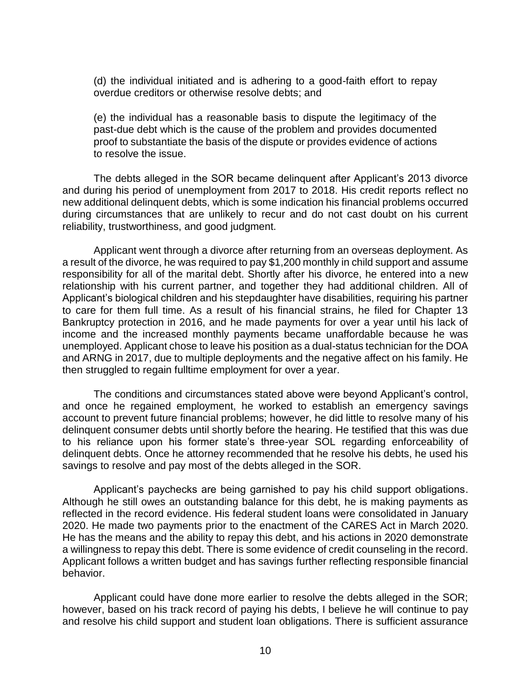(d) the individual initiated and is adhering to a good-faith effort to repay overdue creditors or otherwise resolve debts; and

(e) the individual has a reasonable basis to dispute the legitimacy of the past-due debt which is the cause of the problem and provides documented proof to substantiate the basis of the dispute or provides evidence of actions to resolve the issue.

 The debts alleged in the SOR became delinquent after Applicant's 2013 divorce and during his period of unemployment from 2017 to 2018. His credit reports reflect no during circumstances that are unlikely to recur and do not cast doubt on his current new additional delinquent debts, which is some indication his financial problems occurred reliability, trustworthiness, and good judgment.

 Applicant went through a divorce after returning from an overseas deployment. As a result of the divorce, he was required to pay \$1,200 monthly in child support and assume responsibility for all of the marital debt. Shortly after his divorce, he entered into a new relationship with his current partner, and together they had additional children. All of Applicant's biological children and his stepdaughter have disabilities, requiring his partner to care for them full time. As a result of his financial strains, he filed for Chapter 13 Bankruptcy protection in 2016, and he made payments for over a year until his lack of income and the increased monthly payments became unaffordable because he was unemployed. Applicant chose to leave his position as a dual-status technician for the DOA and ARNG in 2017, due to multiple deployments and the negative affect on his family. He then struggled to regain fulltime employment for over a year.

 and once he regained employment, he worked to establish an emergency savings account to prevent future financial problems; however, he did little to resolve many of his delinquent consumer debts until shortly before the hearing. He testified that this was due to his reliance upon his former state's three-year SOL regarding enforceability of delinquent debts. Once he attorney recommended that he resolve his debts, he used his The conditions and circumstances stated above were beyond Applicant's control, savings to resolve and pay most of the debts alleged in the SOR.

 Applicant's paychecks are being garnished to pay his child support obligations. Although he still owes an outstanding balance for this debt, he is making payments as reflected in the record evidence. His federal student loans were consolidated in January 2020. He made two payments prior to the enactment of the CARES Act in March 2020. He has the means and the ability to repay this debt, and his actions in 2020 demonstrate a willingness to repay this debt. There is some evidence of credit counseling in the record. Applicant follows a written budget and has savings further reflecting responsible financial behavior.

 Applicant could have done more earlier to resolve the debts alleged in the SOR; however, based on his track record of paying his debts, I believe he will continue to pay and resolve his child support and student loan obligations. There is sufficient assurance